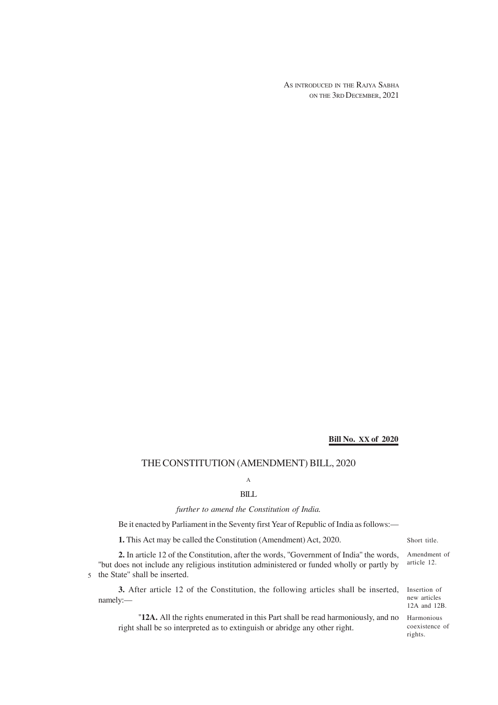AS INTRODUCED IN THE RAJYA SABHA ON THE 3RD DECEMBER, 2021

# **Bill No. XX of 2020**

## THE CONSTITUTION (AMENDMENT) BILL, 2020

# A BILL

## *further to amend the Constitution of India.*

Be it enacted by Parliament in the Seventy first Year of Republic of India as follows:—

**1.** This Act may be called the Constitution (Amendment) Act, 2020.

**2.** In article 12 of the Constitution, after the words, ''Government of India'' the words, ''but does not include any religious institution administered or funded wholly or partly by 5 the State" shall be inserted.

**3.** After article 12 of the Constitution, the following articles shall be inserted, namely:—

"12A. All the rights enumerated in this Part shall be read harmoniously, and no Harmonious right shall be so interpreted as to extinguish or abridge any other right.

Short title.

Amendment of article 12.

Insertion of new articles 12A and 12B.

coexistence of rights.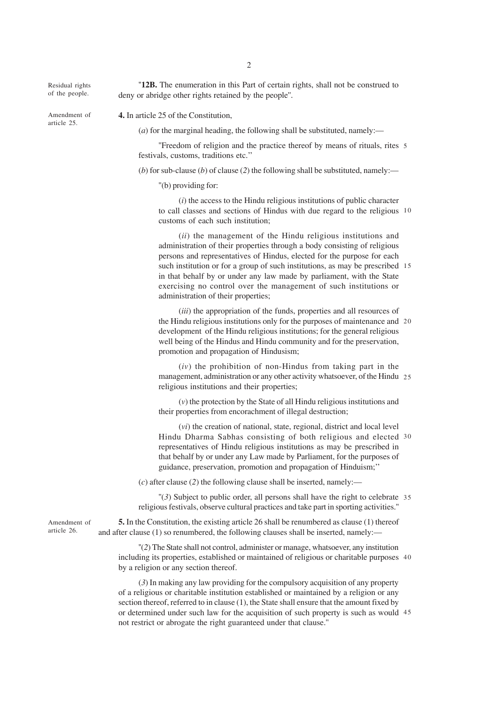Residual rights of the people.

Amendment of article 25.

**4.** In article 25 of the Constitution,

deny or abridge other rights retained by the people''.

(*a*) for the marginal heading, the following shall be substituted, namely:—

"Freedom of religion and the practice thereof by means of rituals, rites 5 festivals, customs, traditions etc.''

"12B. The enumeration in this Part of certain rights, shall not be construed to

(*b*) for sub-clause (*b*) of clause (*2*) the following shall be substituted, namely:—

''(b) providing for:

(*i*) the access to the Hindu religious institutions of public character to call classes and sections of Hindus with due regard to the religious 10 customs of each such institution;

(*ii*) the management of the Hindu religious institutions and administration of their properties through a body consisting of religious persons and representatives of Hindus, elected for the purpose for each such institution or for a group of such institutions, as may be prescribed 15 in that behalf by or under any law made by parliament, with the State exercising no control over the management of such institutions or administration of their properties;

(*iii*) the appropriation of the funds, properties and all resources of the Hindu religious institutions only for the purposes of maintenance and 20 development of the Hindu religious institutions; for the general religious well being of the Hindus and Hindu community and for the preservation, promotion and propagation of Hindusism;

(*iv*) the prohibition of non-Hindus from taking part in the management, administration or any other activity whatsoever, of the Hindu 25 religious institutions and their properties;

(*v*) the protection by the State of all Hindu religious institutions and their properties from encorachment of illegal destruction;

(*vi*) the creation of national, state, regional, district and local level Hindu Dharma Sabhas consisting of both religious and elected 30 representatives of Hindu religious institutions as may be prescribed in that behalf by or under any Law made by Parliament, for the purposes of guidance, preservation, promotion and propagation of Hinduism;''

(*c*) after clause (*2*) the following clause shall be inserted, namely:—

"(3) Subject to public order, all persons shall have the right to celebrate 35 religious festivals, observe cultural practices and take part in sporting activities.''

**5.** In the Constitution, the existing article 26 shall be renumbered as clause (1) thereof and after clause (1) so renumbered, the following clauses shall be inserted, namely:—

''(*2*) The State shall not control, administer or manage, whatsoever, any institution including its properties, established or maintained of religious or charitable purposes 40 by a religion or any section thereof.

(*3*) In making any law providing for the compulsory acquisition of any property of a religious or charitable institution established or maintained by a religion or any section thereof, referred to in clause (1), the State shall ensure that the amount fixed by or determined under such law for the acquisition of such property is such as would 45not restrict or abrogate the right guaranteed under that clause.''

Amendment of article 26.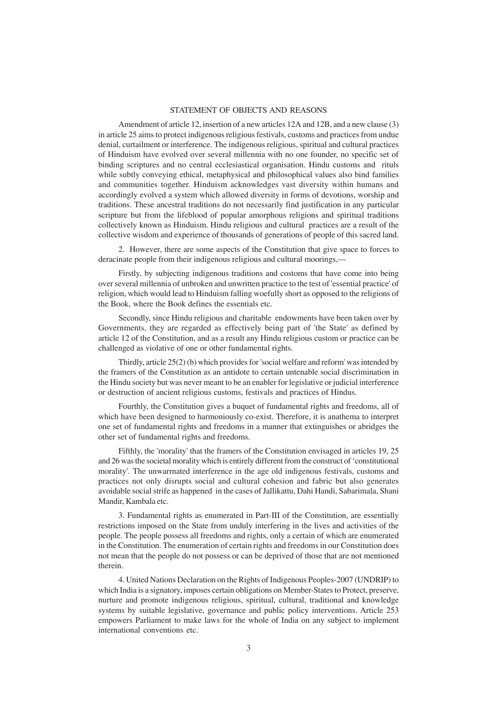### STATEMENT OF OBJECTS AND REASONS

Amendment of article 12, insertion of a new articles 12A and 12B, and a new clause (3) in article 25 aims to protect indigenous religious festivals, customs and practices from undue denial, curtailment or interference. The indigenous religious, spiritual and cultural practices of Hinduism have evolved over several millennia with no one founder, no specific set of binding scriptures and no central ecclesiastical organisation. Hindu customs and rituls while subtly conveying ethical, metaphysical and philosophical values also bind families and communities together. Hinduism acknowledges vast diversity within humans and accordingly evolved a system which allowed diversity in forms of devotions, worship and traditions. These ancestral traditions do not necessarily find justification in any particular scripture but from the lifeblood of popular amorphous religions and spiritual traditions collectively known as Hinduism. Hindu religious and cultural practices are a result of the collective wisdom and experience of thousands of generations of people of this sacred land.

2. However, there are some aspects of the Constitution that give space to forces to deracinate people from their indigenous religious and cultural moorings,—

Firstly, by subjecting indigenous traditions and costoms that have come into being over several millennia of unbroken and unwritten practice to the test of 'essential practice' of religion, which would lead to Hinduism falling woefully short as opposed to the religions of the Book, where the Book defines the essentials etc.

Secondly, since Hindu religious and charitable endowments have been taken over by Governments, they are regarded as effectively being part of 'the State' as defined by article 12 of the Constitution, and as a result any Hindu religious custom or practice can be challenged as violative of one or other fundamental rights.

Thirdly, article 25(2) (b) which provides for 'social welfare and reform' was intended by the framers of the Constitution as an antidote to certain untenable social discrimination in the Hindu society but was never meant to be an enabler for legislative or judicial interference or destruction of ancient religious customs, festivals and practices of Hindus.

Fourthly, the Constitution gives a buquet of fundamental rights and freedoms, all of which have been designed to harmoniously co-exist. Therefore, it is anathema to interpret one set of fundamental rights and freedoms in a manner that extinguishes or abridges the other set of fundamental rights and freedoms.

Fifthly, the 'morality' that the framers of the Constitution envisaged in articles 19, 25 and 26 was the societal morality which is entirely different from the construct of 'constitutional morality'. The unwarrnated interference in the age old indigenous festivals, customs and practices not only disrupts social and cultural cohesion and fabric but also generates avoidable social strife as happened in the cases of Jallikattu, Dahi Handi, Sabarimala, Shani Mandir, Kambala etc.

3. Fundamental rights as enumerated in Part-III of the Constitution, are essentially restrictions imposed on the State from unduly interfering in the lives and activities of the people. The people possess all freedoms and rights, only a certain of which are enumerated in the Constitution. The enumeration of certain rights and freedoms in our Constitution does not mean that the people do not possess or can be deprived of those that are not mentioned therein.

4. United Nations Declaration on the Rights of Indigenous Peoples-2007 (UNDRIP) to which India is a signatory, imposes certain obligations on Member-States to Protect, preserve, nurture and promote indigenous religious, spiritual, cultural, traditional and knowledge systems by suitable legislative, governance and public policy interventions. Article 253 empowers Parliament to make laws for the whole of India on any subject to implement international conventions etc.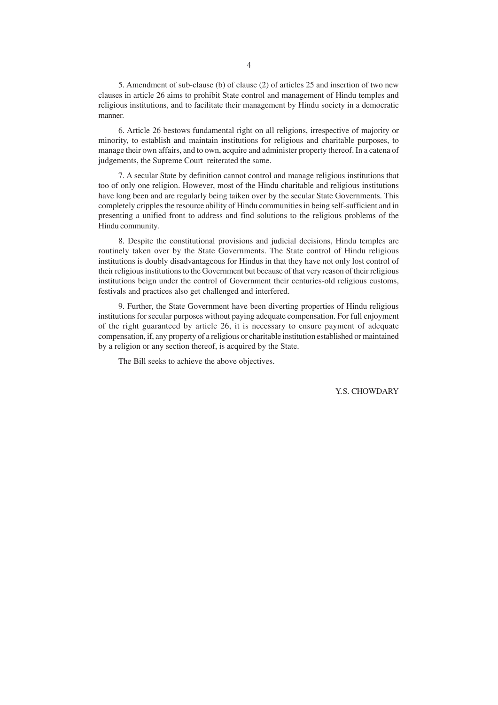5. Amendment of sub-clause (b) of clause (2) of articles 25 and insertion of two new clauses in article 26 aims to prohibit State control and management of Hindu temples and religious institutions, and to facilitate their management by Hindu society in a democratic manner.

6. Article 26 bestows fundamental right on all religions, irrespective of majority or minority, to establish and maintain institutions for religious and charitable purposes, to manage their own affairs, and to own, acquire and administer property thereof. In a catena of judgements, the Supreme Court reiterated the same.

7. A secular State by definition cannot control and manage religious institutions that too of only one religion. However, most of the Hindu charitable and religious institutions have long been and are regularly being taiken over by the secular State Governments. This completely cripples the resource ability of Hindu communities in being self-sufficient and in presenting a unified front to address and find solutions to the religious problems of the Hindu community.

8. Despite the constitutional provisions and judicial decisions, Hindu temples are routinely taken over by the State Governments. The State control of Hindu religious institutions is doubly disadvantageous for Hindus in that they have not only lost control of their religious institutions to the Government but because of that very reason of their religious institutions beign under the control of Government their centuries-old religious customs, festivals and practices also get challenged and interfered.

9. Further, the State Government have been diverting properties of Hindu religious institutions for secular purposes without paying adequate compensation. For full enjoyment of the right guaranteed by article 26, it is necessary to ensure payment of adequate compensation, if, any property of a religious or charitable institution established or maintained by a religion or any section thereof, is acquired by the State.

The Bill seeks to achieve the above objectives.

Y.S. CHOWDARY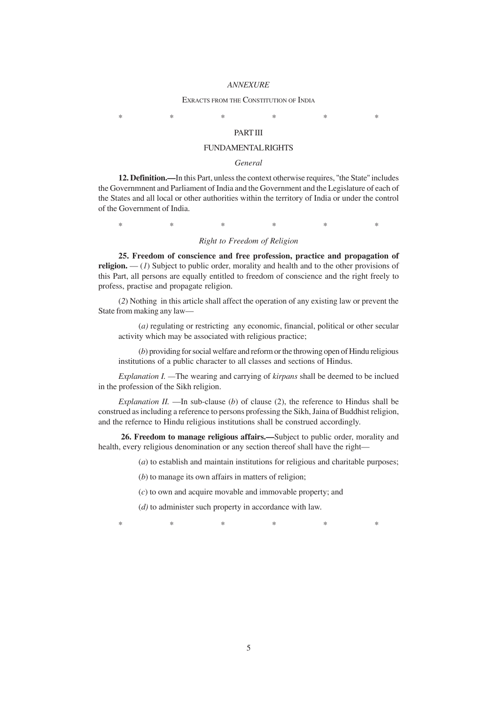### *ANNEXURE*

#### EXRACTS FROM THE CONSTITUTION OF INDIA

\* \* \* \* \* \*

# PART III

### FUNDAMENTAL RIGHTS

## *General*

**12. Definition.—**In this Part, unless the context otherwise requires, ''the State'' includes the Governmnent and Parliament of India and the Government and the Legislature of each of the States and all local or other authorities within the territory of India or under the control of the Government of India.

\* \* \* \* \* \*

## *Right to Freedom of Religion*

**25. Freedom of conscience and free profession, practice and propagation of religion.** — (*1*) Subject to public order, morality and health and to the other provisions of this Part, all persons are equally entitled to freedom of conscience and the right freely to profess, practise and propagate religion.

(*2*) Nothing in this article shall affect the operation of any existing law or prevent the State from making any law—

(*a)* regulating or restricting any economic, financial, political or other secular activity which may be associated with religious practice;

(*b*) providing for social welfare and reform or the throwing open of Hindu religious institutions of a public character to all classes and sections of Hindus.

*Explanation I. —*The wearing and carrying of *kirpans* shall be deemed to be inclued in the profession of the Sikh religion.

*Explanation II.* —In sub-clause (*b*) of clause (2), the reference to Hindus shall be construed as including a reference to persons professing the Sikh, Jaina of Buddhist religion, and the refernce to Hindu religious institutions shall be construed accordingly.

**26. Freedom to manage religious affairs.—**Subject to public order, morality and health, every religious denomination or any section thereof shall have the right—

(*a*) to establish and maintain institutions for religious and charitable purposes;

(*b*) to manage its own affairs in matters of religion;

(*c*) to own and acquire movable and immovable property; and

(*d)* to administer such property in accordance with law.

\* \* \* \* \* \*